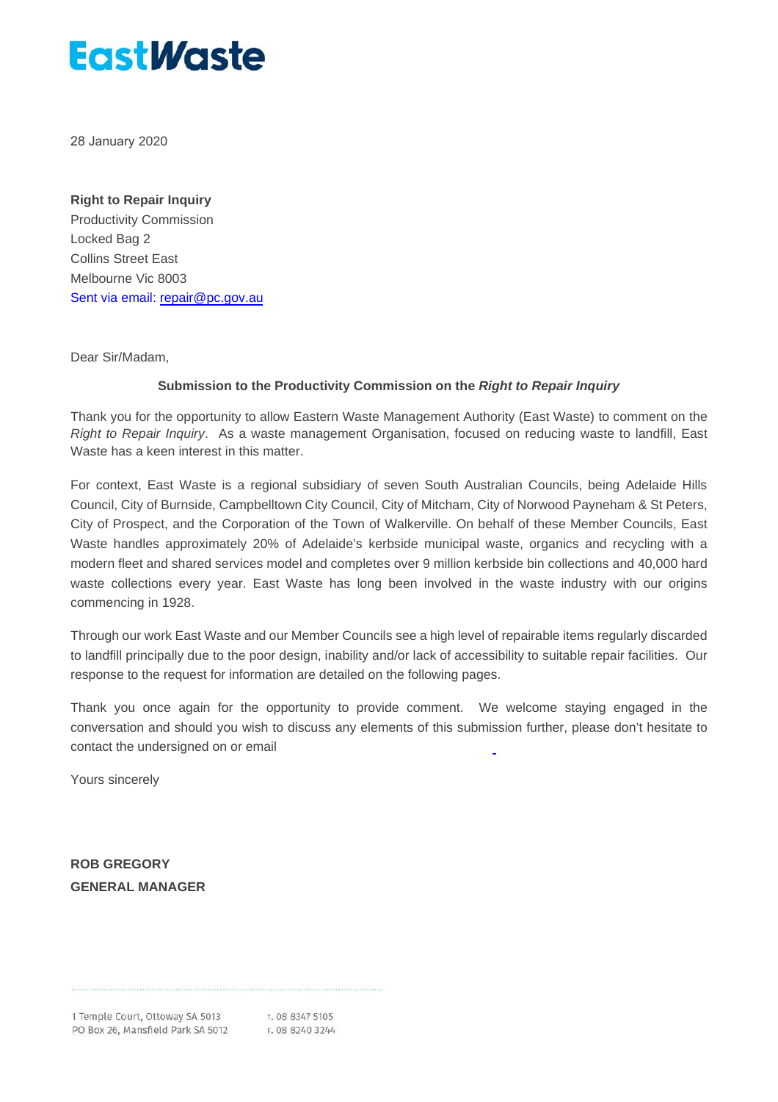28 January 2020

#### **Right to Repair Inquiry**

Productivity Commission Locked Bag 2 Collins Street East Melbourne Vic 8003 Sent via email: [repair@pc.gov.au](mailto:repair@pc.gov.au)

Dear Sir/Madam,

#### **Submission to the Productivity Commission on the** *Right to Repair [Inquiry](https://www.greenindustries.sa.gov.au/LiteratureRetrieve.aspx?ID=203887)*

Thank you for the opportunity to allow Eastern Waste Management Authority (East Waste) to comment on the *Right to Repair Inquiry*. As a waste management Organisation, focused on reducing waste to landfill, East Waste has a keen interest in this matter.

For context, East Waste is a regional subsidiary of seven South Australian Councils, being Adelaide Hills Council, City of Burnside, Campbelltown City Council, City of Mitcham, City of Norwood Payneham & St Peters, City of Prospect, and the Corporation of the Town of Walkerville. On behalf of these Member Councils, East Waste handles approximately 20% of Adelaide's kerbside municipal waste, organics and recycling with a modern fleet and shared services model and completes over 9 million kerbside bin collections and 40,000 hard waste collections every year. East Waste has long been involved in the waste industry with our origins commencing in 1928.

Through our work East Waste and our Member Councils see a high level of repairable items regularly discarded to landfill principally due to the poor design, inability and/or lack of accessibility to suitable repair facilities. Our response to the request for information are detailed on the following pages.

Thank you once again for the opportunity to provide comment. We welcome staying engaged in the conversation and should you wish to discuss any elements of this submission further, please don't hesitate to contact the undersigned on or email

Yours sincerely

**ROB GREGORY GENERAL MANAGER**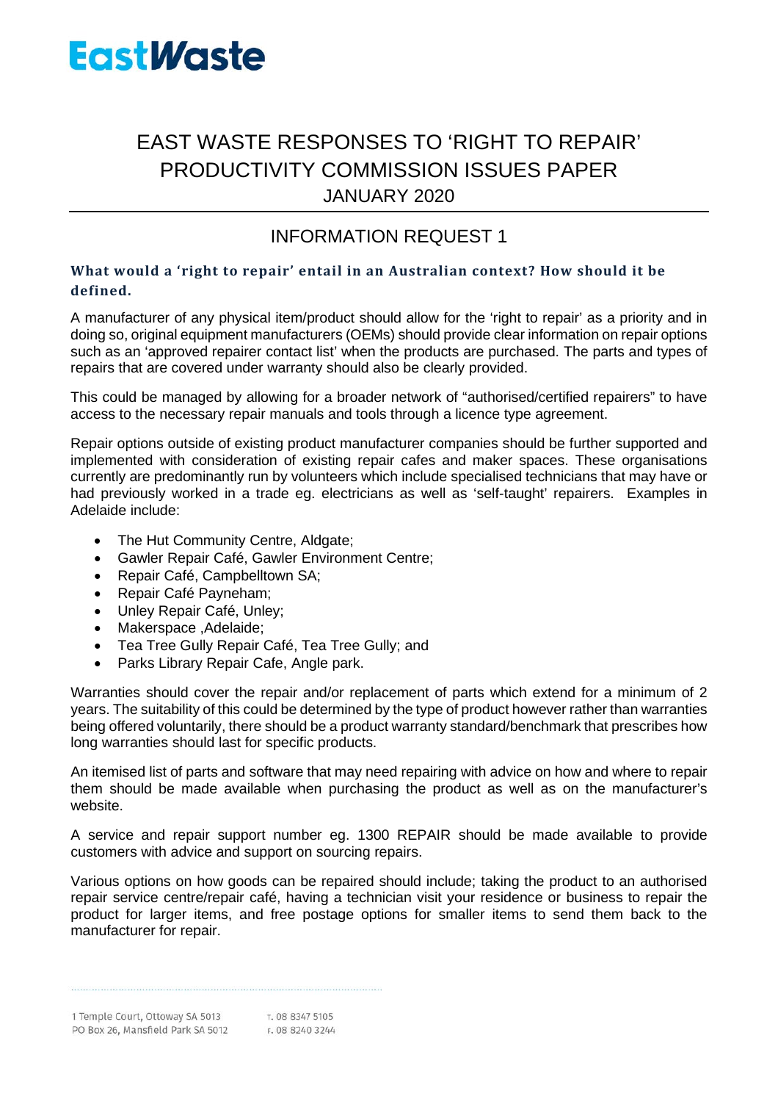## EAST WASTE RESPONSES TO 'RIGHT TO REPAIR' PRODUCTIVITY COMMISSION ISSUES PAPER JANUARY 2020

## INFORMATION REQUEST 1

### **What would a 'right to repair' entail in an Australian context? How should it be defined.**

A manufacturer of any physical item/product should allow for the 'right to repair' as a priority and in doing so, original equipment manufacturers (OEMs) should provide clear information on repair options such as an 'approved repairer contact list' when the products are purchased. The parts and types of repairs that are covered under warranty should also be clearly provided.

This could be managed by allowing for a broader network of "authorised/certified repairers" to have access to the necessary repair manuals and tools through a licence type agreement.

Repair options outside of existing product manufacturer companies should be further supported and implemented with consideration of existing repair cafes and maker spaces. These organisations currently are predominantly run by volunteers which include specialised technicians that may have or had previously worked in a trade eg. electricians as well as 'self-taught' repairers. Examples in Adelaide include:

- [The Hut Community Centre, Aldgate;](https://www.thehut.org.au/)
- Gawler Repair Café, [Gawler Environment Centre;](https://www.facebook.com/GawlerEnvironmentCentre)
- [Repair Café, Campbelltown SA;](https://www.facebook.com/Repair-Cafe-Campbelltown-SA-103728601451735/?__cft__%5b0%5d=AZUbCD-KqL_mjeQULAVBB_J-IzBn7JI1op0PF8F6gfjeZjEKb8F5bdW3rR0Jid2b2aXnpyVPhP29h1xgnCzr5th8k3g7U08jP4O3kDX8BHJviSIKt3gNZd-4iYxQP3tZWrKY75Lax60OrgzU_VMbk2LY&__tn__=kK-R)
- [Repair Café Payneham;](https://www.facebook.com/RepairCafePayneham/)
- [Unley Repair Café,](https://www.facebook.com/unleyrepaircafe) Unley;
- [Makerspace ,Adelaide;](https://www.facebook.com/MakerspaceAdelaide/)
- [Tea Tree Gully Repair Café,](https://www.teatreegully.sa.gov.au/Events_and_places/Events_programs_and_activities/Repair_Cafe?fbclid=IwAR04yQMarvSiskrR2w3WP_JjjnZ7d2o6tiNs9nKvBe5REWQ8dpbncnA0udM) Tea Tree Gully; and
- [Parks Library Repair Cafe,](https://stemlibrary.space/parks-repair-cafe/) Angle park.

Warranties should cover the repair and/or replacement of parts which extend for a minimum of 2 years. The suitability of this could be determined by the type of product however rather than warranties being offered voluntarily, there should be a product warranty standard/benchmark that prescribes how long warranties should last for specific products.

An itemised list of parts and software that may need repairing with advice on how and where to repair them should be made available when purchasing the product as well as on the manufacturer's website.

A service and repair support number eg. 1300 REPAIR should be made available to provide customers with advice and support on sourcing repairs.

Various options on how goods can be repaired should include; taking the product to an authorised repair service centre/repair café, having a technician visit your residence or business to repair the product for larger items, and free postage options for smaller items to send them back to the manufacturer for repair.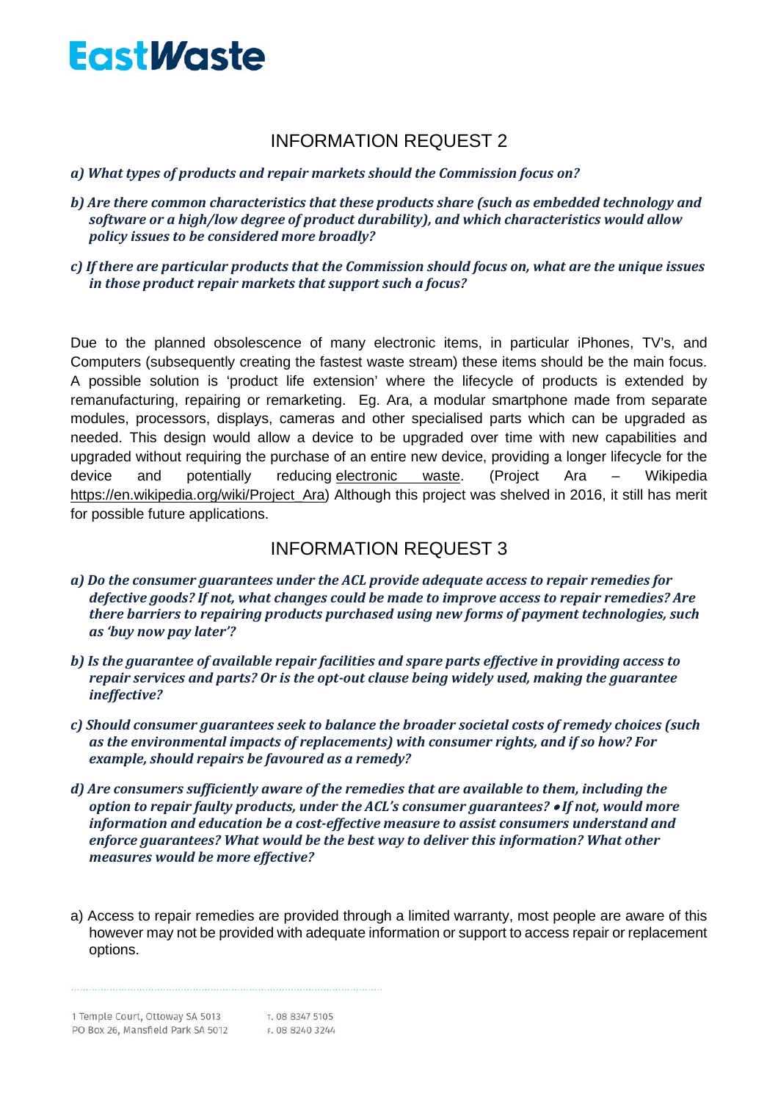## INFORMATION REQUEST 2

### *a) What types of products and repair markets should the Commission focus on?*

- *b) Are there common characteristics that these products share (such as embedded technology and software or a high/low degree of product durability), and which characteristics would allow policy issues to be considered more broadly?*
- *c) If there are particular products that the Commission should focus on, what are the unique issues in those product repair markets that support such a focus?*

Due to the planned obsolescence of many electronic items, in particular iPhones, TV's, and Computers (subsequently creating the fastest waste stream) these items should be the main focus. A possible solution is 'product life extension' where the lifecycle of products is extended by remanufacturing, repairing or remarketing. Eg. Ara, a modular smartphone made from separate modules, processors, displays, cameras and other specialised parts which can be upgraded as needed. This design would allow a device to be upgraded over time with new capabilities and upgraded without requiring the purchase of an entire new device, providing a longer lifecycle for the device and potentially reducing [electronic waste.](https://en.wikipedia.org/wiki/Electronic_waste) (Project Ara – Wikipedia [https://en.wikipedia.org/wiki/Project\\_Ara\)](https://en.wikipedia.org/wiki/Project_Ara) Although this project was shelved in 2016, it still has merit for possible future applications.

### INFORMATION REQUEST 3

- *a) Do the consumer guarantees under the ACL provide adequate access to repair remedies for defective goods? If not, what changes could be made to improve access to repair remedies? Are there barriers to repairing products purchased using new forms of payment technologies, such as 'buy now pay later'?*
- *b) Is the guarantee of available repair facilities and spare parts effective in providing access to repair services and parts? Or is the opt-out clause being widely used, making the guarantee ineffective?*
- *c) Should consumer guarantees seek to balance the broader societal costs of remedy choices (such as the environmental impacts of replacements) with consumer rights, and if so how? For example, should repairs be favoured as a remedy?*
- *d) Are consumers sufficiently aware of the remedies that are available to them, including the option to repair faulty products, under the ACL's consumer guarantees?* • *If not, would more information and education be a cost-effective measure to assist consumers understand and enforce guarantees? What would be the best way to deliver this information? What other measures would be more effective?*
- a) Access to repair remedies are provided through a limited warranty, most people are aware of this however may not be provided with adequate information or support to access repair or replacement options.

T. 08 8347 5105 1 Temple Court, Ottoway SA 5013 PO Box 26, Mansfield Park SA 5012 F. 08 8240 3244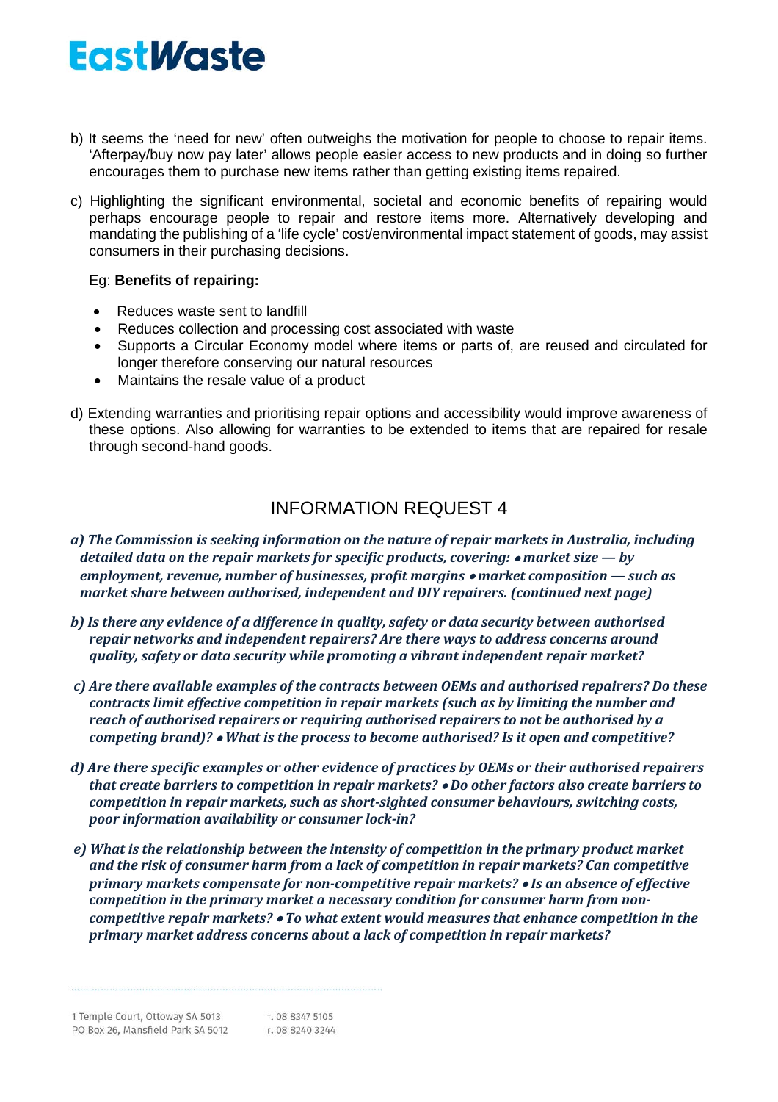- b) It seems the 'need for new' often outweighs the motivation for people to choose to repair items. 'Afterpay/buy now pay later' allows people easier access to new products and in doing so further encourages them to purchase new items rather than getting existing items repaired.
- c) Highlighting the significant environmental, societal and economic benefits of repairing would perhaps encourage people to repair and restore items more. Alternatively developing and mandating the publishing of a 'life cycle' cost/environmental impact statement of goods, may assist consumers in their purchasing decisions.

### Eg: **Benefits of repairing:**

- Reduces waste sent to landfill
- Reduces collection and processing cost associated with waste
- Supports a Circular Economy model where items or parts of, are reused and circulated for longer therefore conserving our natural resources
- Maintains the resale value of a product
- d) Extending warranties and prioritising repair options and accessibility would improve awareness of these options. Also allowing for warranties to be extended to items that are repaired for resale through second-hand goods.

## INFORMATION REQUEST 4

- *a) The Commission is seeking information on the nature of repair markets in Australia, including detailed data on the repair markets for specific products, covering:* • *market size — by employment, revenue, number of businesses, profit margins* • *market composition — such as market share between authorised, independent and DIY repairers. (continued next page)*
- *b) Is there any evidence of a difference in quality, safety or data security between authorised repair networks and independent repairers? Are there ways to address concerns around quality, safety or data security while promoting a vibrant independent repair market?*
- *c) Are there available examples of the contracts between OEMs and authorised repairers? Do these contracts limit effective competition in repair markets (such as by limiting the number and reach of authorised repairers or requiring authorised repairers to not be authorised by a competing brand)?* • *What is the process to become authorised? Is it open and competitive?*
- *d) Are there specific examples or other evidence of practices by OEMs or their authorised repairers that create barriers to competition in repair markets?* • *Do other factors also create barriers to competition in repair markets, such as short-sighted consumer behaviours, switching costs, poor information availability or consumer lock-in?*
- *e) What is the relationship between the intensity of competition in the primary product market and the risk of consumer harm from a lack of competition in repair markets? Can competitive primary markets compensate for non-competitive repair markets?* • *Is an absence of effective competition in the primary market a necessary condition for consumer harm from noncompetitive repair markets?* • *To what extent would measures that enhance competition in the primary market address concerns about a lack of competition in repair markets?*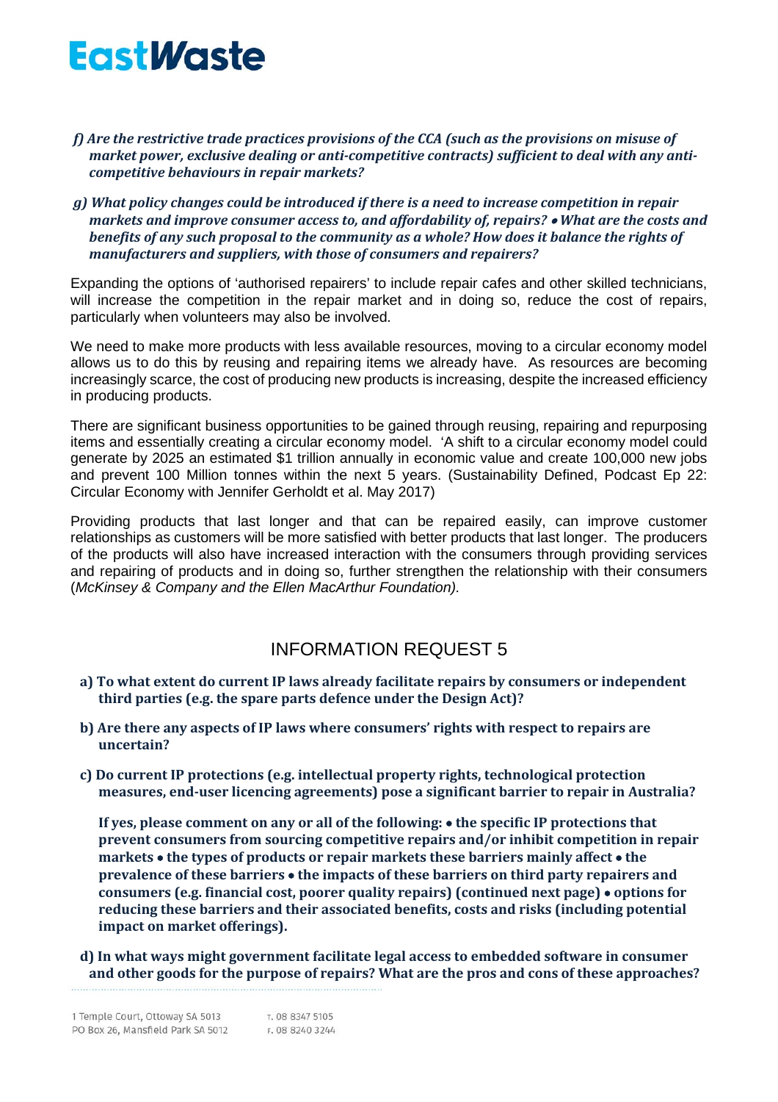- *f) Are the restrictive trade practices provisions of the CCA (such as the provisions on misuse of market power, exclusive dealing or anti-competitive contracts) sufficient to deal with any anticompetitive behaviours in repair markets?*
- *g) What policy changes could be introduced if there is a need to increase competition in repair markets and improve consumer access to, and affordability of, repairs?* • *What are the costs and benefits of any such proposal to the community as a whole? How does it balance the rights of manufacturers and suppliers, with those of consumers and repairers?*

Expanding the options of 'authorised repairers' to include repair cafes and other skilled technicians, will increase the competition in the repair market and in doing so, reduce the cost of repairs, particularly when volunteers may also be involved.

We need to make more products with less available resources, moving to a circular economy model allows us to do this by reusing and repairing items we already have. As resources are becoming increasingly scarce, the cost of producing new products is increasing, despite the increased efficiency in producing products.

There are significant business opportunities to be gained through reusing, repairing and repurposing items and essentially creating a circular economy model. 'A shift to a circular economy model could generate by 2025 an estimated \$1 trillion annually in economic value and create 100,000 new jobs and prevent 100 Million tonnes within the next 5 years. (Sustainability Defined, Podcast Ep 22: Circular Economy with Jennifer Gerholdt et al. May 2017)

Providing products that last longer and that can be repaired easily, can improve customer relationships as customers will be more satisfied with better products that last longer. The producers of the products will also have increased interaction with the consumers through providing services and repairing of products and in doing so, further strengthen the relationship with their consumers (*[McKinsey & Company](https://www.mckinsey.com/business-functions/sustainability/how-we-help-clients/circular-economy) and [the Ellen MacArthur Foundation\)](https://www.ellenmacarthurfoundation.org/assets/downloads/publications/Ellen-MacArthur-Foundation-Towards-the-Circular-Economy-vol.1.pdf).*

### INFORMATION REQUEST 5

- **a) To what extent do current IP laws already facilitate repairs by consumers or independent third parties (e.g. the spare parts defence under the Design Act)?**
- **b) Are there any aspects of IP laws where consumers' rights with respect to repairs are uncertain?**
- **c) Do current IP protections (e.g. intellectual property rights, technological protection measures, end-user licencing agreements) pose a significant barrier to repair in Australia?**

**If yes, please comment on any or all of the following:** • **the specific IP protections that prevent consumers from sourcing competitive repairs and/or inhibit competition in repair markets** • **the types of products or repair markets these barriers mainly affect** • **the prevalence of these barriers** • **the impacts of these barriers on third party repairers and consumers (e.g. financial cost, poorer quality repairs) (continued next page)** • **options for reducing these barriers and their associated benefits, costs and risks (including potential impact on market offerings).**

**d) In what ways might government facilitate legal access to embedded software in consumer and other goods for the purpose of repairs? What are the pros and cons of these approaches?**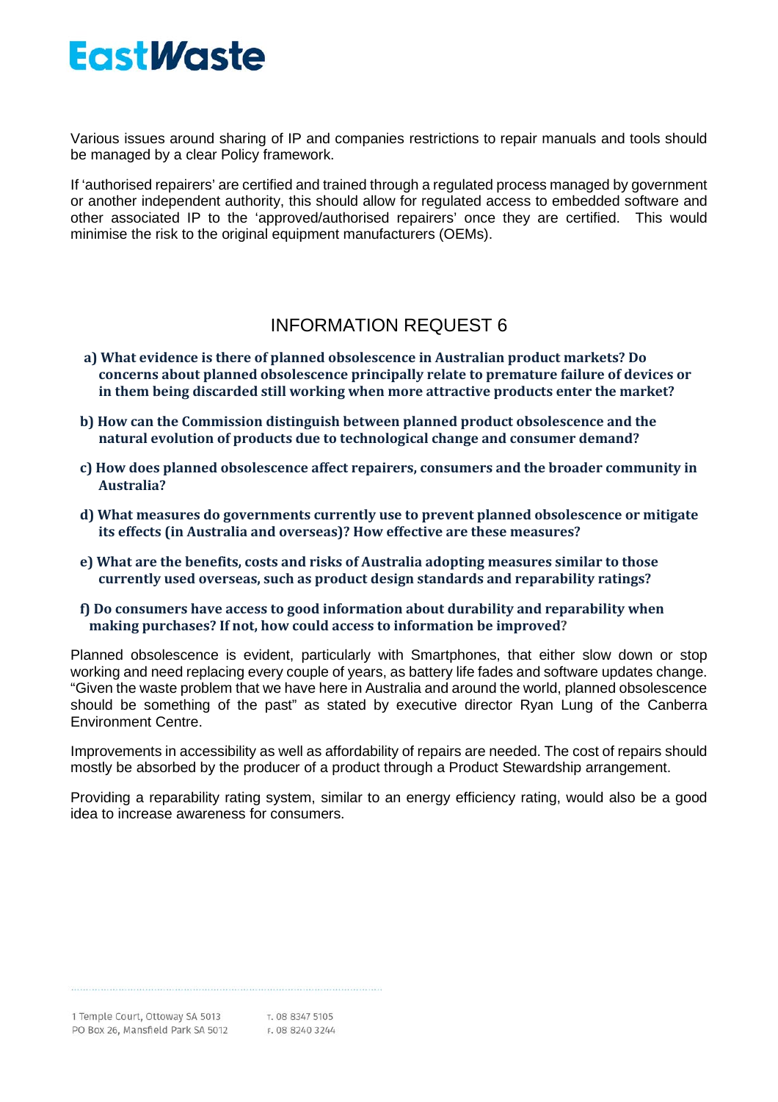Various issues around sharing of IP and companies restrictions to repair manuals and tools should be managed by a clear Policy framework.

If 'authorised repairers' are certified and trained through a regulated process managed by government or another independent authority, this should allow for regulated access to embedded software and other associated IP to the 'approved/authorised repairers' once they are certified. This would minimise the risk to the original equipment manufacturers (OEMs).

### INFORMATION REQUEST 6

- **a) What evidence is there of planned obsolescence in Australian product markets? Do concerns about planned obsolescence principally relate to premature failure of devices or in them being discarded still working when more attractive products enter the market?**
- **b) How can the Commission distinguish between planned product obsolescence and the natural evolution of products due to technological change and consumer demand?**
- **c) How does planned obsolescence affect repairers, consumers and the broader community in Australia?**
- **d) What measures do governments currently use to prevent planned obsolescence or mitigate its effects (in Australia and overseas)? How effective are these measures?**
- **e) What are the benefits, costs and risks of Australia adopting measures similar to those currently used overseas, such as product design standards and reparability ratings?**
- **f) Do consumers have access to good information about durability and reparability when making purchases? If not, how could access to information be improved?**

Planned obsolescence is evident, particularly with Smartphones, that either slow down or stop working and need replacing every couple of years, as battery life fades and software updates change. "Given the waste problem that we have here in Australia and around the world, planned obsolescence should be something of the past" as stated by executive director Ryan Lung of the Canberra Environment Centre.

Improvements in accessibility as well as affordability of repairs are needed. The cost of repairs should mostly be absorbed by the producer of a product through a Product Stewardship arrangement.

Providing a reparability rating system, similar to an energy efficiency rating, would also be a good idea to increase awareness for consumers.